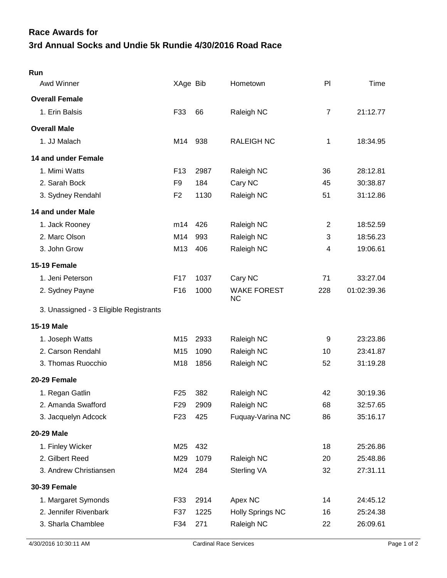## **3rd Annual Socks and Undie 5k Rundie 4/30/2016 Road Race Race Awards for**

| Run                                    |                 |      |                                 |                |             |
|----------------------------------------|-----------------|------|---------------------------------|----------------|-------------|
| Awd Winner                             | XAge Bib        |      | Hometown                        | P <sub>1</sub> | Time        |
| <b>Overall Female</b>                  |                 |      |                                 |                |             |
| 1. Erin Balsis                         | F33             | 66   | Raleigh NC                      | $\overline{7}$ | 21:12.77    |
| <b>Overall Male</b>                    |                 |      |                                 |                |             |
| 1. JJ Malach                           | M14             | 938  | <b>RALEIGH NC</b>               | 1              | 18:34.95    |
| 14 and under Female                    |                 |      |                                 |                |             |
| 1. Mimi Watts                          | F <sub>13</sub> | 2987 | Raleigh NC                      | 36             | 28:12.81    |
| 2. Sarah Bock                          | F <sub>9</sub>  | 184  | Cary NC                         | 45             | 30:38.87    |
| 3. Sydney Rendahl                      | F <sub>2</sub>  | 1130 | Raleigh NC                      | 51             | 31:12.86    |
| 14 and under Male                      |                 |      |                                 |                |             |
| 1. Jack Rooney                         | m14             | 426  | Raleigh NC                      | $\overline{2}$ | 18:52.59    |
| 2. Marc Olson                          | M14             | 993  | Raleigh NC                      | 3              | 18:56.23    |
| 3. John Grow                           | M13             | 406  | Raleigh NC                      | 4              | 19:06.61    |
| 15-19 Female                           |                 |      |                                 |                |             |
| 1. Jeni Peterson                       | F <sub>17</sub> | 1037 | Cary NC                         | 71             | 33:27.04    |
| 2. Sydney Payne                        | F <sub>16</sub> | 1000 | <b>WAKE FOREST</b><br><b>NC</b> | 228            | 01:02:39.36 |
| 3. Unassigned - 3 Eligible Registrants |                 |      |                                 |                |             |
| <b>15-19 Male</b>                      |                 |      |                                 |                |             |
| 1. Joseph Watts                        | M15             | 2933 | Raleigh NC                      | 9              | 23:23.86    |
| 2. Carson Rendahl                      | M15             | 1090 | Raleigh NC                      | 10             | 23:41.87    |
| 3. Thomas Ruocchio                     | M18             | 1856 | Raleigh NC                      | 52             | 31:19.28    |
| 20-29 Female                           |                 |      |                                 |                |             |
| 1. Regan Gatlin                        | F <sub>25</sub> | 382  | Raleigh NC                      | 42             | 30:19.36    |
| 2. Amanda Swafford                     | F <sub>29</sub> | 2909 | Raleigh NC                      | 68             | 32:57.65    |
| 3. Jacquelyn Adcock                    | F <sub>23</sub> | 425  | Fuquay-Varina NC                | 86             | 35:16.17    |
| 20-29 Male                             |                 |      |                                 |                |             |
| 1. Finley Wicker                       | M25             | 432  |                                 | 18             | 25:26.86    |
| 2. Gilbert Reed                        | M29             | 1079 | Raleigh NC                      | 20             | 25:48.86    |
| 3. Andrew Christiansen                 | M24             | 284  | Sterling VA                     | 32             | 27:31.11    |
| <b>30-39 Female</b>                    |                 |      |                                 |                |             |
| 1. Margaret Symonds                    | F33             | 2914 | Apex NC                         | 14             | 24:45.12    |
| 2. Jennifer Rivenbark                  | F37             | 1225 | <b>Holly Springs NC</b>         | 16             | 25:24.38    |
| 3. Sharla Chamblee                     | F34             | 271  | Raleigh NC                      | 22             | 26:09.61    |